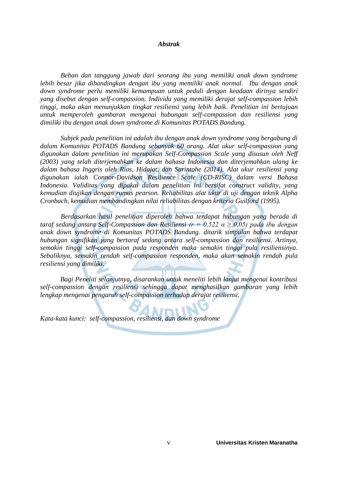#### *Abstrak*

*Beban dan tanggung jawab dari seorang ibu yang memiliki anak down syndrome lebih besar jika dibandingkan dengan ibu yang memiliki anak normal. Ibu dengan anak down syndrome perlu memiliki kemampuan untuk peduli dengan keadaan dirinya sendiri yang disebut dengan self-compassion. Individu yang memiliki derajat self-compassion lebih tinggi, maka akan menunjukkan tingkat resiliensi yang lebih baik. Penelitian ini bertujuan untuk memperoleh gambaran mengenai hubungan self-compassion dan resiliensi yang dimiliki ibu dengan anak down syndrome di Komunitas POTADS Bandung.*

*Subjek pada penelitian ini adalah ibu dengan anak down syndrome yang bergabung di dalam Komunitas POTADS Bandung sebanyak 60 orang. Alat ukur self-compassion yang digunakan dalam penelitian ini merupakan Self-Compassion Scale yang disusun oleh Neff (2003) yang telah diterjemahkan ke dalam bahasa Indonesia dan diterjemahkan ulang ke dalam bahasa Inggris oleh Rias, Hidajat, dan Sarintohe (2014). Alat ukur resiliensi yang digunakan ialah Connor-Davidson Resilience Scale (CD-RISC) dalam versi Bahasa Indonesia. Validitas yang dipakai dalam penelitian ini bersifat construct validity, yang kemudian diujikan dengan rumus pearson. Reliabilitas alat ukur di uji dengan teknik Alpha Cronbach, kemudian membandingkan nilai reliabilitas dengan kriteria Guilford (1995).*

*Berdasarkan hasil penelitian diperoleh bahwa terdapat hubungan yang berada di taraf sedang antara Self-Compassion dan Resiliensi (r = 0,522 α ≥ 0,05) pada ibu dengan anak down syndrome di Komunitas POTADS Bandung. ditarik simpulan bahwa terdapat hubungan signifikan yang bertaraf sedang antara self-compassion dan resiliensi. Artinya, semakin tinggi self-compassion pada responden maka semakin tinggi pula resiliensinya. Sebaliknya, semakin rendah self-compassion responden, maka akan semakin rendah pula resiliensi yang dimiliki.*

*Bagi Peneliti selanjutnya, disarankan untuk meneliti lebih lanjut mengenai kontribusi self-compassion dengan resiliensi sehingga dapat menghasilkan gambaran yang lebih lengkap mengenai pengaruh self-compassion terhadap derajat resiliensi.* 

*Kata-kata kunci: self-compassion, resiliensi, dan down syndrome*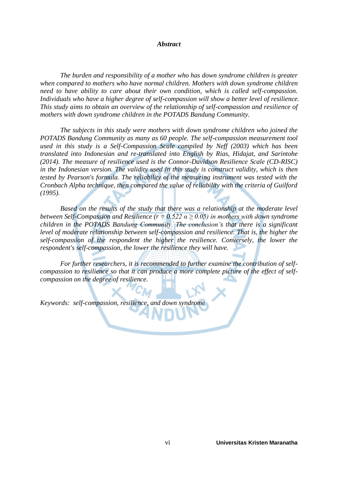#### *Abstract*

*The burden and responsibility of a mother who has down syndrome children is greater when compared to mothers who have normal children. Mothers with down syndrome children need to have ability to care about their own condition, which is called self-compassion. Individuals who have a higher degree of self-compassion will show a better level of resilience. This study aims to obtain an overview of the relationship of self-compassion and resilience of mothers with down syndrome children in the POTADS Bandung Community.*

*The subjects in this study were mothers with down syndrome children who joined the POTADS Bandung Community as many as 60 people. The self-compassion measurement tool used in this study is a Self-Compassion Scale compiled by Neff (2003) which has been translated into Indonesian and re-translated into English by Rias, Hidajat, and Sarintohe (2014). The measure of resilience used is the Connor-Davidson Resilience Scale (CD-RISC) in the Indonesian version. The validity used in this study is construct validity, which is then tested by Pearson's formula. The reliability of the measuring instrument was tested with the Cronbach Alpha technique, then compared the value of reliability with the criteria of Guilford (1995).*

*Based on the results of the study that there was a relationship at the moderate level between Self-Compassion and Resilience (r = 0.522*  $\alpha \ge 0.05$ *) in mothers with down syndrome children in the POTADS Bandung Community. The conclusion's that there is a significant level of moderate relationship between self-compassion and resilience. That is, the higher the self-compassion of the respondent the higher the resilience. Conversely, the lower the respondent's self-compassion, the lower the resilience they will have.*

*For further researchers, it is recommended to further examine the contribution of selfcompassion to resilience so that it can produce a more complete picture of the effect of selfcompassion on the degree of resilience.* 

*Keywords: self-compassion, resilience, and down syndrome*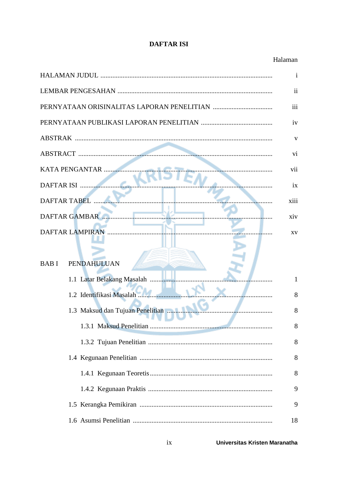# **DAFTAR ISI**

|                                   | Ť              |
|-----------------------------------|----------------|
|                                   | $\ddot{\rm n}$ |
|                                   | iii            |
|                                   | iv             |
|                                   | V              |
|                                   | vi             |
| KATA PENGANTAR                    | vii            |
| DAFTAR ISI                        | ix             |
| <b>DAFTAR TABEL</b>               | xiii           |
| <b>DAFTAR GAMBAR</b>              | xiv            |
| <b>DAFTAR LAMPIRAN</b>            | XV             |
| <b>PENDAHULUAN</b><br><b>BABI</b> |                |
| 1.1 Latar Belakang Masalah        | 1              |
| 1.2 Identifikasi Masalah          | 8              |
| 1.3 Maksud dan Tujuan Penelitian  | 8              |
|                                   | 8              |
|                                   | 8              |
|                                   | 8              |
|                                   | 8              |
|                                   | 9              |
|                                   | 9              |
|                                   | 18             |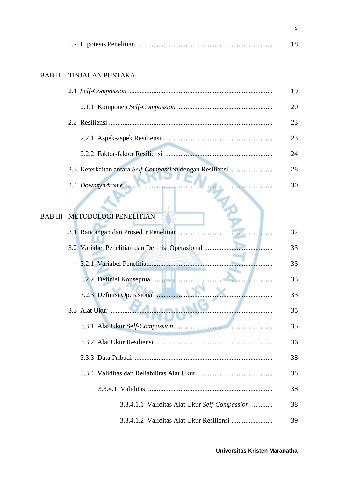|--|--|--|

# BAB II TINJAUAN PUSTAKA

|                                                          | 19 |
|----------------------------------------------------------|----|
|                                                          | 20 |
|                                                          | 23 |
|                                                          | 23 |
|                                                          | 24 |
| 2.3 Keterkaitan antara Self-Compassion dengan Resiliensi | 28 |
|                                                          | 30 |

#### BAB III METODOLOGI PENELITIAN **Allen**

| <b>METODOLOGI PENELITIAN</b>                     |    |
|--------------------------------------------------|----|
| 3.1 Rancangan dan Prosedur Penelitian            | 32 |
| 3.2 Variabel Penelitian dan Definisi Operasional | 33 |
|                                                  | 33 |
|                                                  | 33 |
| 3.2.3 Definisi Operasional                       | 33 |
| <b>AAAmst 19</b><br>3.3 Alat Ukur                | 35 |
|                                                  | 35 |
|                                                  | 36 |
|                                                  | 38 |
|                                                  | 38 |
|                                                  | 38 |
| 3.3.4.1.1 Validitas Alat Ukur Self-Compassion    | 38 |
|                                                  | 39 |

x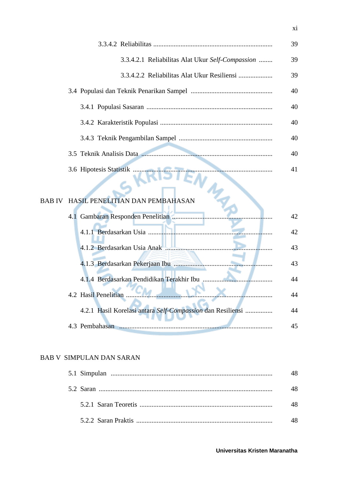|                                                  | 39 |
|--------------------------------------------------|----|
| 3.3.4.2.1 Reliabilitas Alat Ukur Self-Compassion | 39 |
|                                                  | 39 |
|                                                  | 40 |
|                                                  | 40 |
|                                                  | 40 |
|                                                  | 40 |
|                                                  | 40 |
|                                                  | 41 |

# BAB IV HASIL PENELITIAN DAN PEMBAHASAN

 $\epsilon$ 

|                                                            | 42 |
|------------------------------------------------------------|----|
|                                                            | 42 |
|                                                            | 43 |
|                                                            | 43 |
|                                                            | 44 |
| 4.2 Hasil Penelitian                                       | 44 |
| 4.2.1 Hasil Korelasi antara Self-Compassion dan Resiliensi | 44 |
| 4.3 Pembahasan                                             | 45 |

## BAB V SIMPULAN DAN SARAN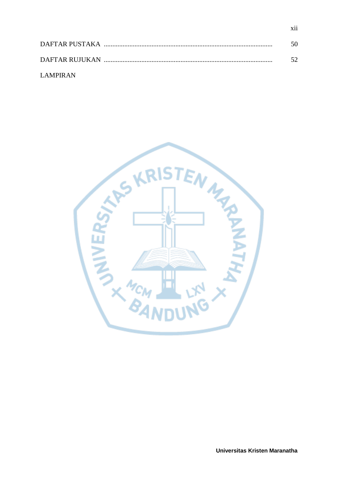|           | 50. |
|-----------|-----|
|           |     |
| LAMPIR AN |     |

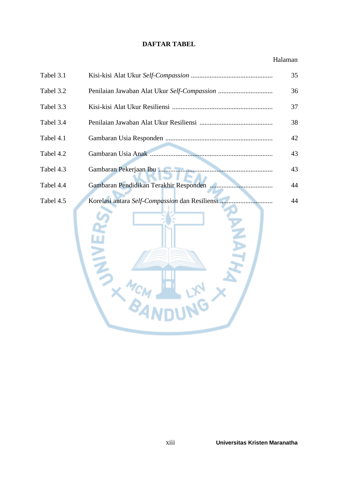## **DAFTAR TABEL**

| Tabel 3.1 |                                                                 | 35 |
|-----------|-----------------------------------------------------------------|----|
| Tabel 3.2 |                                                                 | 36 |
| Tabel 3.3 |                                                                 | 37 |
| Tabel 3.4 |                                                                 | 38 |
| Tabel 4.1 |                                                                 | 42 |
| Tabel 4.2 |                                                                 | 43 |
| Tabel 4.3 |                                                                 | 43 |
| Tabel 4.4 | Gambaran Pendidikan Terakhir Responden                          | 44 |
| Tabel 4.5 | Korelasi antara Self-Compassion dan Resiliensi<br>$\frac{1}{2}$ | 44 |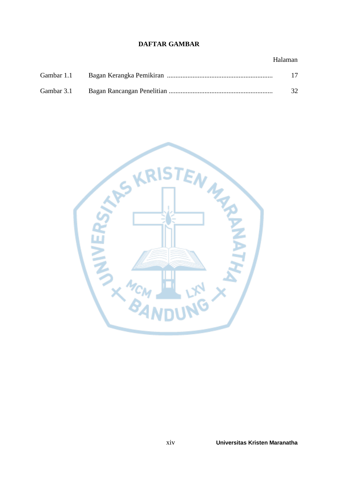# **DAFTAR GAMBAR**

| Gambar 1.1 | 17 |
|------------|----|
| Gambar 3.1 | 32 |